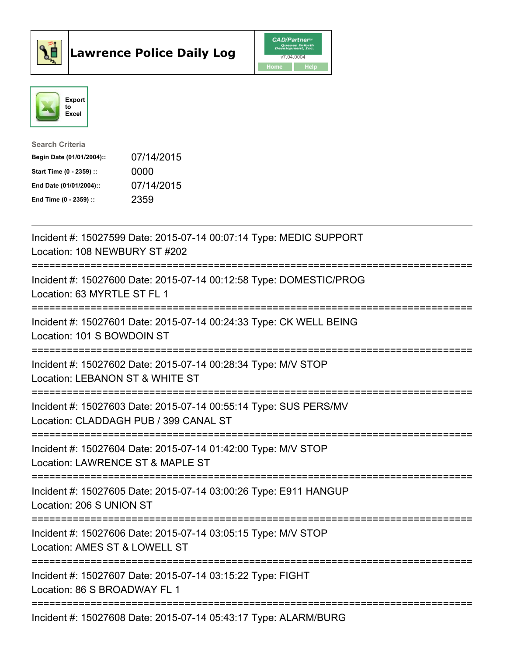



| <b>Search Criteria</b>    |            |
|---------------------------|------------|
| Begin Date (01/01/2004):: | 07/14/2015 |
| Start Time (0 - 2359) ::  | 0000       |
| End Date (01/01/2004)::   | 07/14/2015 |
| End Time $(0 - 2359)$ :   | 2359       |

| Incident #: 15027599 Date: 2015-07-14 00:07:14 Type: MEDIC SUPPORT<br>Location: 108 NEWBURY ST #202                                          |
|----------------------------------------------------------------------------------------------------------------------------------------------|
| Incident #: 15027600 Date: 2015-07-14 00:12:58 Type: DOMESTIC/PROG<br>Location: 63 MYRTLE ST FL 1                                            |
| Incident #: 15027601 Date: 2015-07-14 00:24:33 Type: CK WELL BEING<br>Location: 101 S BOWDOIN ST<br>==============                           |
| Incident #: 15027602 Date: 2015-07-14 00:28:34 Type: M/V STOP<br>Location: LEBANON ST & WHITE ST<br>-----------                              |
| Incident #: 15027603 Date: 2015-07-14 00:55:14 Type: SUS PERS/MV<br>Location: CLADDAGH PUB / 399 CANAL ST<br>=============================== |
| Incident #: 15027604 Date: 2015-07-14 01:42:00 Type: M/V STOP<br>Location: LAWRENCE ST & MAPLE ST                                            |
| Incident #: 15027605 Date: 2015-07-14 03:00:26 Type: E911 HANGUP<br>Location: 206 S UNION ST                                                 |
| Incident #: 15027606 Date: 2015-07-14 03:05:15 Type: M/V STOP<br>Location: AMES ST & LOWELL ST                                               |
| Incident #: 15027607 Date: 2015-07-14 03:15:22 Type: FIGHT<br>Location: 86 S BROADWAY FL 1<br>----------------------                         |
| Incident #: 15027608 Date: 2015-07-14 05:43:17 Type: ALARM/BURG                                                                              |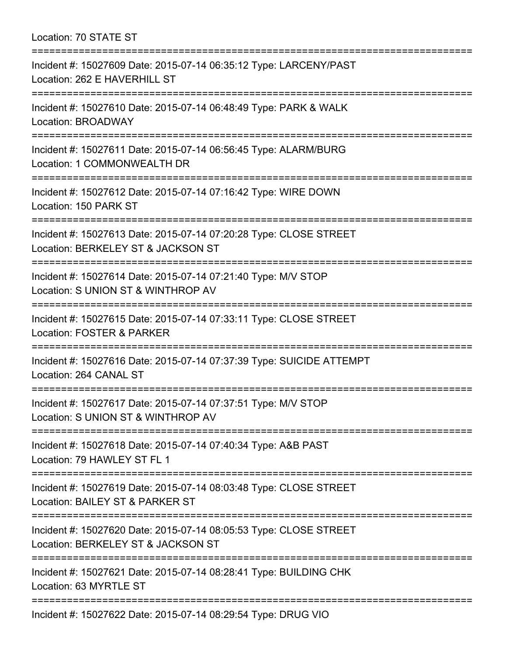Location: 70 STATE ST =========================================================================== Incident #: 15027609 Date: 2015-07-14 06:35:12 Type: LARCENY/PAST

Location: 262 E HAVERHILL ST

===========================================================================

Incident #: 15027610 Date: 2015-07-14 06:48:49 Type: PARK & WALK

Location: BROADWAY

===========================================================================

Incident #: 15027611 Date: 2015-07-14 06:56:45 Type: ALARM/BURG

Location: 1 COMMONWEALTH DR

===========================================================================

Incident #: 15027612 Date: 2015-07-14 07:16:42 Type: WIRE DOWN Location: 150 PARK ST

===========================================================================

Incident #: 15027613 Date: 2015-07-14 07:20:28 Type: CLOSE STREET

Location: BERKELEY ST & JACKSON ST

===========================================================================

Incident #: 15027614 Date: 2015-07-14 07:21:40 Type: M/V STOP

Location: S UNION ST & WINTHROP AV

===========================================================================

Incident #: 15027615 Date: 2015-07-14 07:33:11 Type: CLOSE STREET Location: FOSTER & PARKER

===========================================================================

Incident #: 15027616 Date: 2015-07-14 07:37:39 Type: SUICIDE ATTEMPT

Location: 264 CANAL ST

===========================================================================

Incident #: 15027617 Date: 2015-07-14 07:37:51 Type: M/V STOP

Location: S UNION ST & WINTHROP AV ===========================================================================

Incident #: 15027618 Date: 2015-07-14 07:40:34 Type: A&B PAST

Location: 79 HAWLEY ST FL 1

===========================================================================

Incident #: 15027619 Date: 2015-07-14 08:03:48 Type: CLOSE STREET

Location: BAILEY ST & PARKER ST

===========================================================================

Incident #: 15027620 Date: 2015-07-14 08:05:53 Type: CLOSE STREET

Location: BERKELEY ST & JACKSON ST

===========================================================================

Incident #: 15027621 Date: 2015-07-14 08:28:41 Type: BUILDING CHK

Location: 63 MYRTLE ST

===========================================================================

Incident #: 15027622 Date: 2015-07-14 08:29:54 Type: DRUG VIO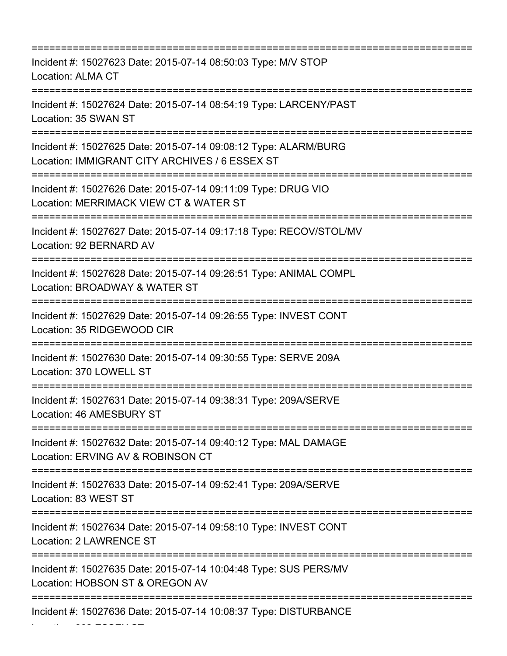| Incident #: 15027623 Date: 2015-07-14 08:50:03 Type: M/V STOP<br>Location: ALMA CT                                           |
|------------------------------------------------------------------------------------------------------------------------------|
| Incident #: 15027624 Date: 2015-07-14 08:54:19 Type: LARCENY/PAST<br>Location: 35 SWAN ST                                    |
| Incident #: 15027625 Date: 2015-07-14 09:08:12 Type: ALARM/BURG<br>Location: IMMIGRANT CITY ARCHIVES / 6 ESSEX ST            |
| Incident #: 15027626 Date: 2015-07-14 09:11:09 Type: DRUG VIO<br>Location: MERRIMACK VIEW CT & WATER ST                      |
| Incident #: 15027627 Date: 2015-07-14 09:17:18 Type: RECOV/STOL/MV<br>Location: 92 BERNARD AV                                |
| Incident #: 15027628 Date: 2015-07-14 09:26:51 Type: ANIMAL COMPL<br>Location: BROADWAY & WATER ST                           |
| Incident #: 15027629 Date: 2015-07-14 09:26:55 Type: INVEST CONT<br>Location: 35 RIDGEWOOD CIR                               |
| Incident #: 15027630 Date: 2015-07-14 09:30:55 Type: SERVE 209A<br>Location: 370 LOWELL ST                                   |
| Incident #: 15027631 Date: 2015-07-14 09:38:31 Type: 209A/SERVE<br>Location: 46 AMESBURY ST                                  |
| Incident #: 15027632 Date: 2015-07-14 09:40:12 Type: MAL DAMAGE<br>Location: ERVING AV & ROBINSON CT                         |
| :================================<br>Incident #: 15027633 Date: 2015-07-14 09:52:41 Type: 209A/SERVE<br>Location: 83 WEST ST |
| Incident #: 15027634 Date: 2015-07-14 09:58:10 Type: INVEST CONT<br>Location: 2 LAWRENCE ST                                  |
| Incident #: 15027635 Date: 2015-07-14 10:04:48 Type: SUS PERS/MV<br>Location: HOBSON ST & OREGON AV                          |
| Incident #: 15027636 Date: 2015-07-14 10:08:37 Type: DISTURBANCE                                                             |

Location: 362 ESSEX ST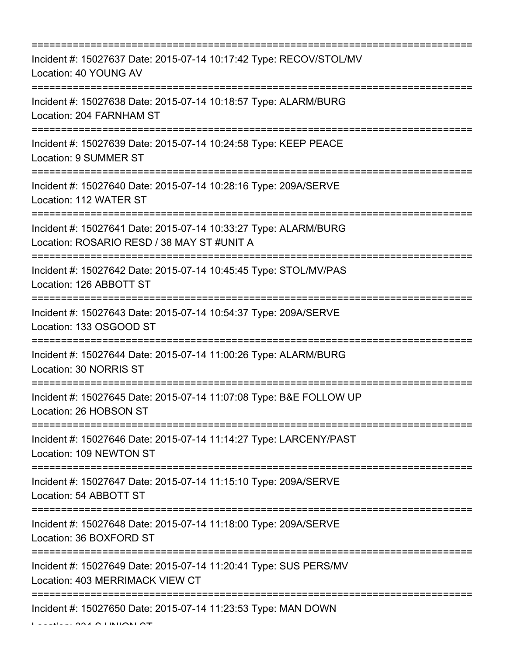| Incident #: 15027637 Date: 2015-07-14 10:17:42 Type: RECOV/STOL/MV<br>Location: 40 YOUNG AV                                                                                                      |
|--------------------------------------------------------------------------------------------------------------------------------------------------------------------------------------------------|
| Incident #: 15027638 Date: 2015-07-14 10:18:57 Type: ALARM/BURG<br>Location: 204 FARNHAM ST<br>=====================================                                                             |
| Incident #: 15027639 Date: 2015-07-14 10:24:58 Type: KEEP PEACE<br>Location: 9 SUMMER ST                                                                                                         |
| Incident #: 15027640 Date: 2015-07-14 10:28:16 Type: 209A/SERVE<br>Location: 112 WATER ST                                                                                                        |
| Incident #: 15027641 Date: 2015-07-14 10:33:27 Type: ALARM/BURG<br>Location: ROSARIO RESD / 38 MAY ST #UNIT A<br>======================================<br>:==================================== |
| Incident #: 15027642 Date: 2015-07-14 10:45:45 Type: STOL/MV/PAS<br>Location: 126 ABBOTT ST                                                                                                      |
| Incident #: 15027643 Date: 2015-07-14 10:54:37 Type: 209A/SERVE<br>Location: 133 OSGOOD ST                                                                                                       |
| Incident #: 15027644 Date: 2015-07-14 11:00:26 Type: ALARM/BURG<br>Location: 30 NORRIS ST                                                                                                        |
| Incident #: 15027645 Date: 2015-07-14 11:07:08 Type: B&E FOLLOW UP<br>Location: 26 HOBSON ST                                                                                                     |
| Incident #: 15027646 Date: 2015-07-14 11:14:27 Type: LARCENY/PAST<br>Location: 109 NEWTON ST                                                                                                     |
| Incident #: 15027647 Date: 2015-07-14 11:15:10 Type: 209A/SERVE<br>Location: 54 ABBOTT ST                                                                                                        |
| Incident #: 15027648 Date: 2015-07-14 11:18:00 Type: 209A/SERVE<br>Location: 36 BOXFORD ST                                                                                                       |
| Incident #: 15027649 Date: 2015-07-14 11:20:41 Type: SUS PERS/MV<br>Location: 403 MERRIMACK VIEW CT                                                                                              |
| Incident #: 15027650 Date: 2015-07-14 11:23:53 Type: MAN DOWN                                                                                                                                    |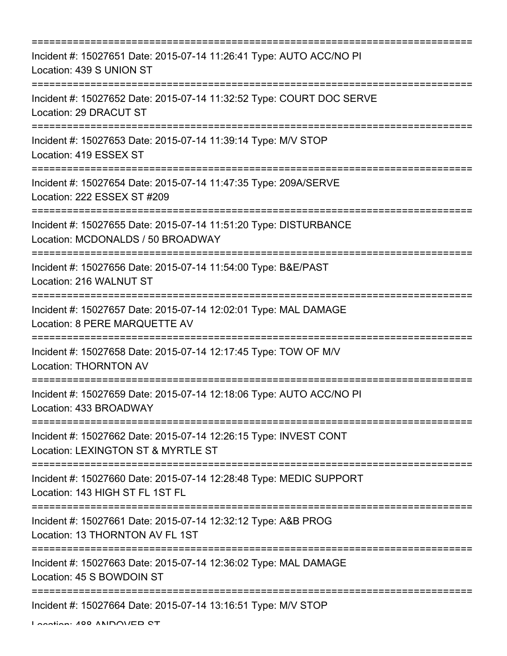| Incident #: 15027651 Date: 2015-07-14 11:26:41 Type: AUTO ACC/NO PI<br>Location: 439 S UNION ST                                  |
|----------------------------------------------------------------------------------------------------------------------------------|
| Incident #: 15027652 Date: 2015-07-14 11:32:52 Type: COURT DOC SERVE<br>Location: 29 DRACUT ST                                   |
| Incident #: 15027653 Date: 2015-07-14 11:39:14 Type: M/V STOP<br>Location: 419 ESSEX ST                                          |
| Incident #: 15027654 Date: 2015-07-14 11:47:35 Type: 209A/SERVE<br>Location: 222 ESSEX ST #209                                   |
| Incident #: 15027655 Date: 2015-07-14 11:51:20 Type: DISTURBANCE<br>Location: MCDONALDS / 50 BROADWAY                            |
| Incident #: 15027656 Date: 2015-07-14 11:54:00 Type: B&E/PAST<br>Location: 216 WALNUT ST                                         |
| Incident #: 15027657 Date: 2015-07-14 12:02:01 Type: MAL DAMAGE<br>Location: 8 PERE MARQUETTE AV                                 |
| Incident #: 15027658 Date: 2015-07-14 12:17:45 Type: TOW OF M/V<br><b>Location: THORNTON AV</b>                                  |
| Incident #: 15027659 Date: 2015-07-14 12:18:06 Type: AUTO ACC/NO PI<br>Location: 433 BROADWAY                                    |
| ======================<br>Incident #: 15027662 Date: 2015-07-14 12:26:15 Type: INVEST CONT<br>Location: LEXINGTON ST & MYRTLE ST |
| Incident #: 15027660 Date: 2015-07-14 12:28:48 Type: MEDIC SUPPORT<br>Location: 143 HIGH ST FL 1ST FL                            |
| Incident #: 15027661 Date: 2015-07-14 12:32:12 Type: A&B PROG<br>Location: 13 THORNTON AV FL 1ST                                 |
| Incident #: 15027663 Date: 2015-07-14 12:36:02 Type: MAL DAMAGE<br>Location: 45 S BOWDOIN ST                                     |
| --------------------<br>=============================<br>Incident #: 15027664 Date: 2015-07-14 13:16:51 Type: M/V STOP           |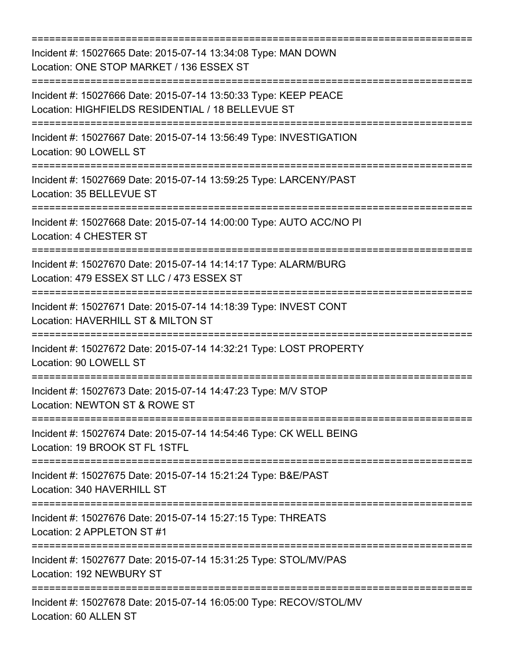| Incident #: 15027665 Date: 2015-07-14 13:34:08 Type: MAN DOWN<br>Location: ONE STOP MARKET / 136 ESSEX ST<br>;=================================== |
|---------------------------------------------------------------------------------------------------------------------------------------------------|
| Incident #: 15027666 Date: 2015-07-14 13:50:33 Type: KEEP PEACE<br>Location: HIGHFIELDS RESIDENTIAL / 18 BELLEVUE ST                              |
| Incident #: 15027667 Date: 2015-07-14 13:56:49 Type: INVESTIGATION<br>Location: 90 LOWELL ST                                                      |
| Incident #: 15027669 Date: 2015-07-14 13:59:25 Type: LARCENY/PAST<br>Location: 35 BELLEVUE ST                                                     |
| Incident #: 15027668 Date: 2015-07-14 14:00:00 Type: AUTO ACC/NO PI<br>Location: 4 CHESTER ST                                                     |
| Incident #: 15027670 Date: 2015-07-14 14:14:17 Type: ALARM/BURG<br>Location: 479 ESSEX ST LLC / 473 ESSEX ST<br>================================= |
| Incident #: 15027671 Date: 2015-07-14 14:18:39 Type: INVEST CONT<br>Location: HAVERHILL ST & MILTON ST                                            |
| Incident #: 15027672 Date: 2015-07-14 14:32:21 Type: LOST PROPERTY<br>Location: 90 LOWELL ST                                                      |
| Incident #: 15027673 Date: 2015-07-14 14:47:23 Type: M/V STOP<br>Location: NEWTON ST & ROWE ST                                                    |
| Incident #: 15027674 Date: 2015-07-14 14:54:46 Type: CK WELL BEING<br>Location: 19 BROOK ST FL 1STFL                                              |
| Incident #: 15027675 Date: 2015-07-14 15:21:24 Type: B&E/PAST<br>Location: 340 HAVERHILL ST                                                       |
| Incident #: 15027676 Date: 2015-07-14 15:27:15 Type: THREATS<br>Location: 2 APPLETON ST #1                                                        |
| Incident #: 15027677 Date: 2015-07-14 15:31:25 Type: STOL/MV/PAS<br>Location: 192 NEWBURY ST                                                      |
| Incident #: 15027678 Date: 2015-07-14 16:05:00 Type: RECOV/STOL/MV<br>Location: 60 ALLEN ST                                                       |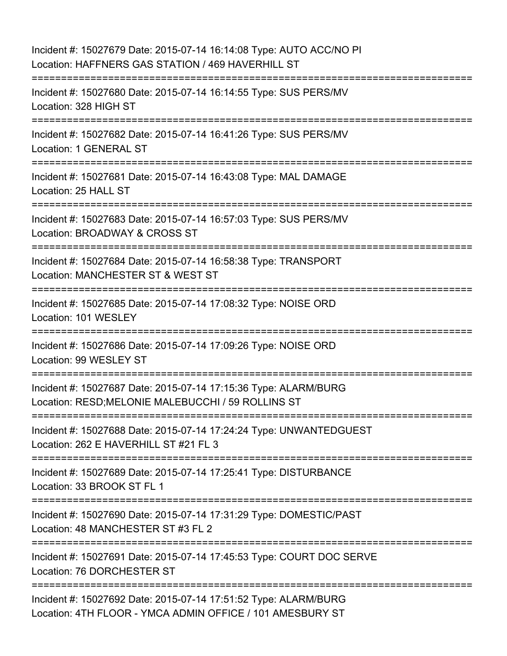| Incident #: 15027679 Date: 2015-07-14 16:14:08 Type: AUTO ACC/NO PI<br>Location: HAFFNERS GAS STATION / 469 HAVERHILL ST     |
|------------------------------------------------------------------------------------------------------------------------------|
| Incident #: 15027680 Date: 2015-07-14 16:14:55 Type: SUS PERS/MV<br>Location: 328 HIGH ST                                    |
| Incident #: 15027682 Date: 2015-07-14 16:41:26 Type: SUS PERS/MV<br>Location: 1 GENERAL ST                                   |
| Incident #: 15027681 Date: 2015-07-14 16:43:08 Type: MAL DAMAGE<br>Location: 25 HALL ST                                      |
| Incident #: 15027683 Date: 2015-07-14 16:57:03 Type: SUS PERS/MV<br>Location: BROADWAY & CROSS ST                            |
| Incident #: 15027684 Date: 2015-07-14 16:58:38 Type: TRANSPORT<br>Location: MANCHESTER ST & WEST ST                          |
| Incident #: 15027685 Date: 2015-07-14 17:08:32 Type: NOISE ORD<br>Location: 101 WESLEY                                       |
| Incident #: 15027686 Date: 2015-07-14 17:09:26 Type: NOISE ORD<br>Location: 99 WESLEY ST                                     |
| Incident #: 15027687 Date: 2015-07-14 17:15:36 Type: ALARM/BURG<br>Location: RESD; MELONIE MALEBUCCHI / 59 ROLLINS ST        |
| Incident #: 15027688 Date: 2015-07-14 17:24:24 Type: UNWANTEDGUEST<br>Location: 262 E HAVERHILL ST #21 FL 3                  |
| Incident #: 15027689 Date: 2015-07-14 17:25:41 Type: DISTURBANCE<br>Location: 33 BROOK ST FL 1                               |
| Incident #: 15027690 Date: 2015-07-14 17:31:29 Type: DOMESTIC/PAST<br>Location: 48 MANCHESTER ST #3 FL 2                     |
| Incident #: 15027691 Date: 2015-07-14 17:45:53 Type: COURT DOC SERVE<br>Location: 76 DORCHESTER ST                           |
| Incident #: 15027692 Date: 2015-07-14 17:51:52 Type: ALARM/BURG<br>Location: 4TH FLOOR - YMCA ADMIN OFFICE / 101 AMESBURY ST |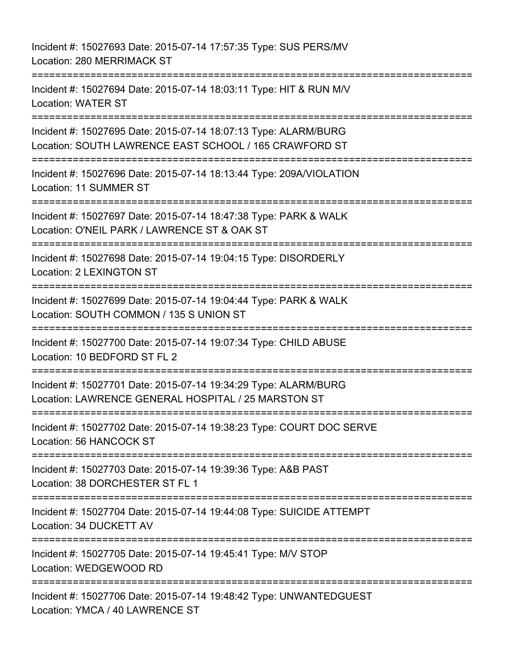Incident #: 15027693 Date: 2015-07-14 17:57:35 Type: SUS PERS/MV Location: 280 MERRIMACK ST =========================================================================== Incident #: 15027694 Date: 2015-07-14 18:03:11 Type: HIT & RUN M/V Location: WATER ST =========================================================================== Incident #: 15027695 Date: 2015-07-14 18:07:13 Type: ALARM/BURG Location: SOUTH LAWRENCE EAST SCHOOL / 165 CRAWFORD ST =========================================================================== Incident #: 15027696 Date: 2015-07-14 18:13:44 Type: 209A/VIOLATION Location: 11 SUMMER ST =========================================================================== Incident #: 15027697 Date: 2015-07-14 18:47:38 Type: PARK & WALK Location: O'NEIL PARK / LAWRENCE ST & OAK ST =========================================================================== Incident #: 15027698 Date: 2015-07-14 19:04:15 Type: DISORDERLY Location: 2 LEXINGTON ST =========================================================================== Incident #: 15027699 Date: 2015-07-14 19:04:44 Type: PARK & WALK Location: SOUTH COMMON / 135 S UNION ST =========================================================================== Incident #: 15027700 Date: 2015-07-14 19:07:34 Type: CHILD ABUSE Location: 10 BEDFORD ST FL 2 =========================================================================== Incident #: 15027701 Date: 2015-07-14 19:34:29 Type: ALARM/BURG Location: LAWRENCE GENERAL HOSPITAL / 25 MARSTON ST =========================================================================== Incident #: 15027702 Date: 2015-07-14 19:38:23 Type: COURT DOC SERVE Location: 56 HANCOCK ST =========================================================================== Incident #: 15027703 Date: 2015-07-14 19:39:36 Type: A&B PAST Location: 38 DORCHESTER ST FL 1 =========================================================================== Incident #: 15027704 Date: 2015-07-14 19:44:08 Type: SUICIDE ATTEMPT Location: 34 DUCKETT AV =========================================================================== Incident #: 15027705 Date: 2015-07-14 19:45:41 Type: M/V STOP Location: WEDGEWOOD RD =========================================================================== Incident #: 15027706 Date: 2015-07-14 19:48:42 Type: UNWANTEDGUEST Location: YMCA / 40 LAWRENCE ST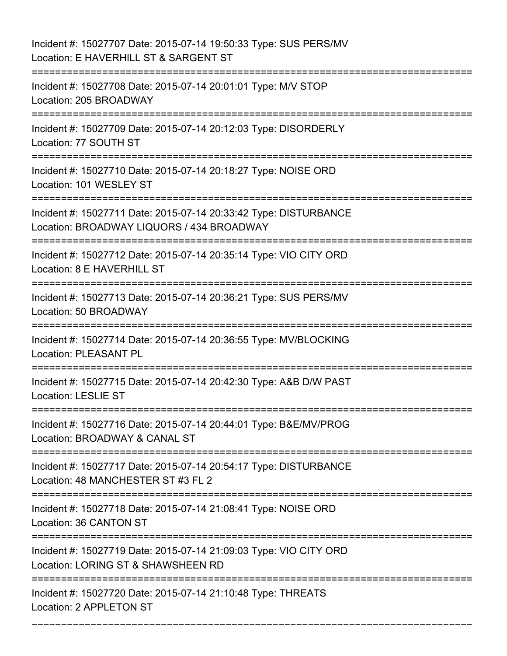Incident #: 15027707 Date: 2015-07-14 19:50:33 Type: SUS PERS/MV Location: E HAVERHILL ST & SARGENT ST =========================================================================== Incident #: 15027708 Date: 2015-07-14 20:01:01 Type: M/V STOP Location: 205 BROADWAY =========================================================================== Incident #: 15027709 Date: 2015-07-14 20:12:03 Type: DISORDERLY Location: 77 SOUTH ST =========================================================================== Incident #: 15027710 Date: 2015-07-14 20:18:27 Type: NOISE ORD Location: 101 WESLEY ST =========================================================================== Incident #: 15027711 Date: 2015-07-14 20:33:42 Type: DISTURBANCE Location: BROADWAY LIQUORS / 434 BROADWAY =========================================================================== Incident #: 15027712 Date: 2015-07-14 20:35:14 Type: VIO CITY ORD Location: 8 E HAVERHILL ST =========================================================================== Incident #: 15027713 Date: 2015-07-14 20:36:21 Type: SUS PERS/MV Location: 50 BROADWAY =========================================================================== Incident #: 15027714 Date: 2015-07-14 20:36:55 Type: MV/BLOCKING Location: PLEASANT PL =========================================================================== Incident #: 15027715 Date: 2015-07-14 20:42:30 Type: A&B D/W PAST Location: LESLIE ST =========================================================================== Incident #: 15027716 Date: 2015-07-14 20:44:01 Type: B&E/MV/PROG Location: BROADWAY & CANAL ST =========================================================================== Incident #: 15027717 Date: 2015-07-14 20:54:17 Type: DISTURBANCE Location: 48 MANCHESTER ST #3 FL 2 =========================================================================== Incident #: 15027718 Date: 2015-07-14 21:08:41 Type: NOISE ORD Location: 36 CANTON ST =========================================================================== Incident #: 15027719 Date: 2015-07-14 21:09:03 Type: VIO CITY ORD Location: LORING ST & SHAWSHEEN RD =========================================================================== Incident #: 15027720 Date: 2015-07-14 21:10:48 Type: THREATS Location: 2 APPLETON ST

===========================================================================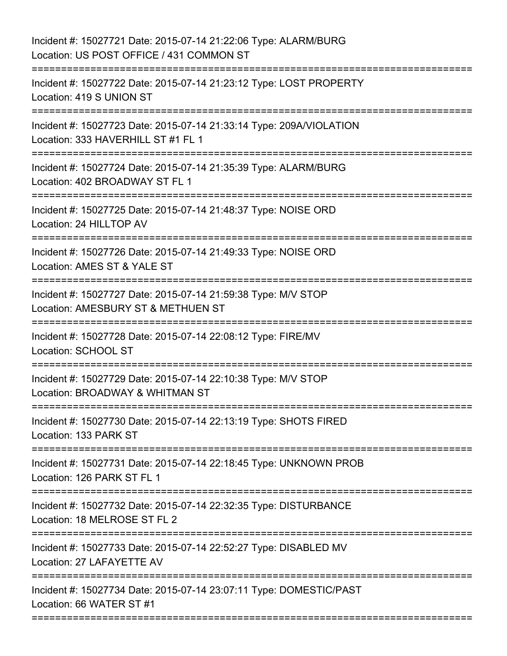| Incident #: 15027721 Date: 2015-07-14 21:22:06 Type: ALARM/BURG<br>Location: US POST OFFICE / 431 COMMON ST                  |
|------------------------------------------------------------------------------------------------------------------------------|
| Incident #: 15027722 Date: 2015-07-14 21:23:12 Type: LOST PROPERTY<br>Location: 419 S UNION ST                               |
| Incident #: 15027723 Date: 2015-07-14 21:33:14 Type: 209A/VIOLATION<br>Location: 333 HAVERHILL ST #1 FL 1                    |
| Incident #: 15027724 Date: 2015-07-14 21:35:39 Type: ALARM/BURG<br>Location: 402 BROADWAY ST FL 1<br>======================= |
| Incident #: 15027725 Date: 2015-07-14 21:48:37 Type: NOISE ORD<br>Location: 24 HILLTOP AV                                    |
| Incident #: 15027726 Date: 2015-07-14 21:49:33 Type: NOISE ORD<br>Location: AMES ST & YALE ST                                |
| Incident #: 15027727 Date: 2015-07-14 21:59:38 Type: M/V STOP<br>Location: AMESBURY ST & METHUEN ST                          |
| Incident #: 15027728 Date: 2015-07-14 22:08:12 Type: FIRE/MV<br>Location: SCHOOL ST<br>=======================               |
| Incident #: 15027729 Date: 2015-07-14 22:10:38 Type: M/V STOP<br>Location: BROADWAY & WHITMAN ST                             |
| Incident #: 15027730 Date: 2015-07-14 22:13:19 Type: SHOTS FIRED<br>Location: 133 PARK ST                                    |
| Incident #: 15027731 Date: 2015-07-14 22:18:45 Type: UNKNOWN PROB<br>Location: 126 PARK ST FL 1                              |
| Incident #: 15027732 Date: 2015-07-14 22:32:35 Type: DISTURBANCE<br>Location: 18 MELROSE ST FL 2                             |
| Incident #: 15027733 Date: 2015-07-14 22:52:27 Type: DISABLED MV<br>Location: 27 LAFAYETTE AV                                |
| Incident #: 15027734 Date: 2015-07-14 23:07:11 Type: DOMESTIC/PAST<br>Location: 66 WATER ST #1                               |
|                                                                                                                              |